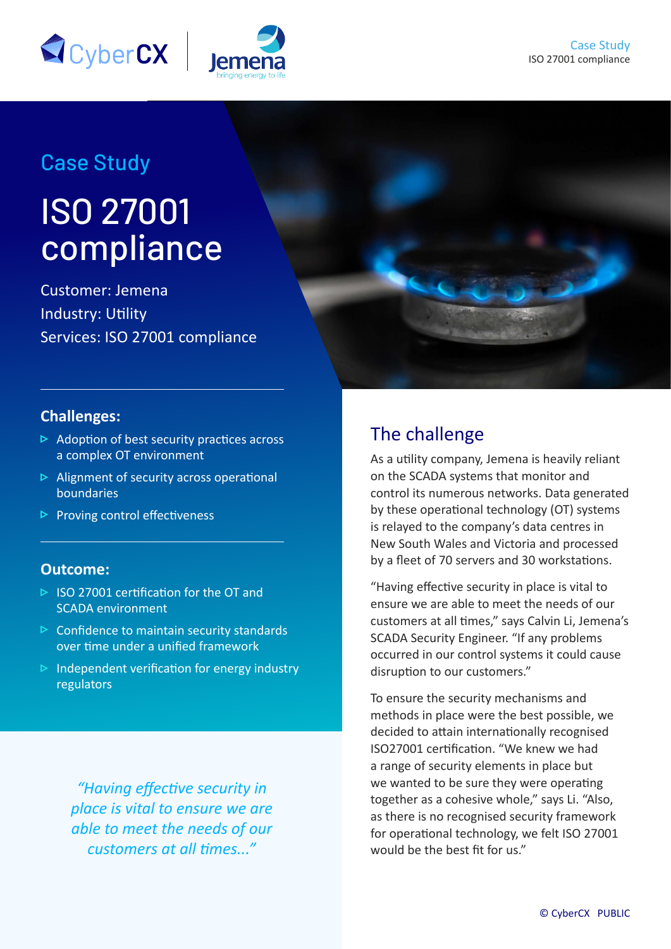

# Case Study

# ISO 27001 compliance

Customer: Jemena Industry: Utility Services: ISO 27001 compliance



### **Challenges:**

- $\triangleright$  Adoption of best security practices across a complex OT environment
- $\triangleright$  Alignment of security across operational boundaries
- $\triangleright$  Proving control effectiveness

#### **Outcome:**

- $\triangleright$  ISO 27001 certification for the OT and SCADA environment
- $\triangleright$  Confidence to maintain security standards over time under a unified framework
- $\triangleright$  Independent verification for energy industry regulators

*"Having effective security in place is vital to ensure we are able to meet the needs of our customers at all times..."* 

# The challenge

As a utility company, Jemena is heavily reliant on the SCADA systems that monitor and control its numerous networks. Data generated by these operational technology (OT) systems is relayed to the company's data centres in New South Wales and Victoria and processed by a fleet of 70 servers and 30 workstations.

"Having effective security in place is vital to ensure we are able to meet the needs of our customers at all times," says Calvin Li, Jemena's SCADA Security Engineer. "If any problems occurred in our control systems it could cause disruption to our customers."

To ensure the security mechanisms and methods in place were the best possible, we decided to attain internationally recognised ISO27001 certification. "We knew we had a range of security elements in place but we wanted to be sure they were operating together as a cohesive whole," says Li. "Also, as there is no recognised security framework for operational technology, we felt ISO 27001 would be the best fit for us"